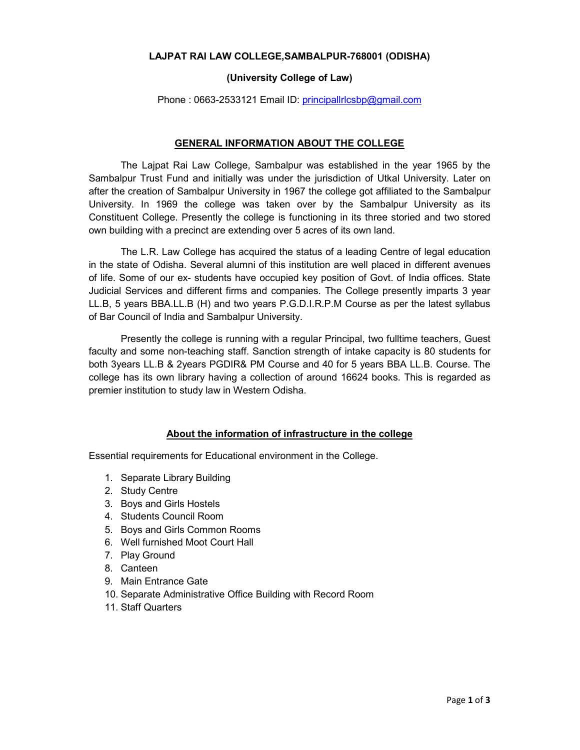## **LAJPAT RAI LAW COLLEGE,SAMBALPUR-768001 (ODISHA)**

#### **(University College of Law)**

Phone: 0663-2533121 Email ID: principallrlcsbp@gmail.com

### **GENERAL INFORMATION ABOUT THE COLLEGE**

The Lajpat Rai Law College, Sambalpur was established in the year 1965 by the Sambalpur Trust Fund and initially was under the jurisdiction of Utkal University. Later on after the creation of Sambalpur University in 1967 the college got affiliated to the Sambalpur University. In 1969 the college was taken over by the Sambalpur University as its Constituent College. Presently the college is functioning in its three storied and two stored own building with a precinct are extending over 5 acres of its own land.

The L.R. Law College has acquired the status of a leading Centre of legal education in the state of Odisha. Several alumni of this institution are well placed in different avenues of life. Some of our ex- students have occupied key position of Govt. of India offices. State Judicial Services and different firms and companies. The College presently imparts 3 year LL.B, 5 years BBA.LL.B (H) and two years P.G.D.I.R.P.M Course as per the latest syllabus of Bar Council of India and Sambalpur University.

Presently the college is running with a regular Principal, two fulltime teachers, Guest faculty and some non-teaching staff. Sanction strength of intake capacity is 80 students for both 3years LL.B & 2years PGDIR& PM Course and 40 for 5 years BBA LL.B. Course. The college has its own library having a collection of around 16624 books. This is regarded as premier institution to study law in Western Odisha.

## **About the information of infrastructure in the college**

Essential requirements for Educational environment in the College.

- 1. Separate Library Building
- 2. Study Centre
- 3. Boys and Girls Hostels
- 4. Students Council Room
- 5. Boys and Girls Common Rooms
- 6. Well furnished Moot Court Hall
- 7. Play Ground
- 8. Canteen
- 9. Main Entrance Gate
- 10. Separate Administrative Office Building with Record Room
- 11. Staff Quarters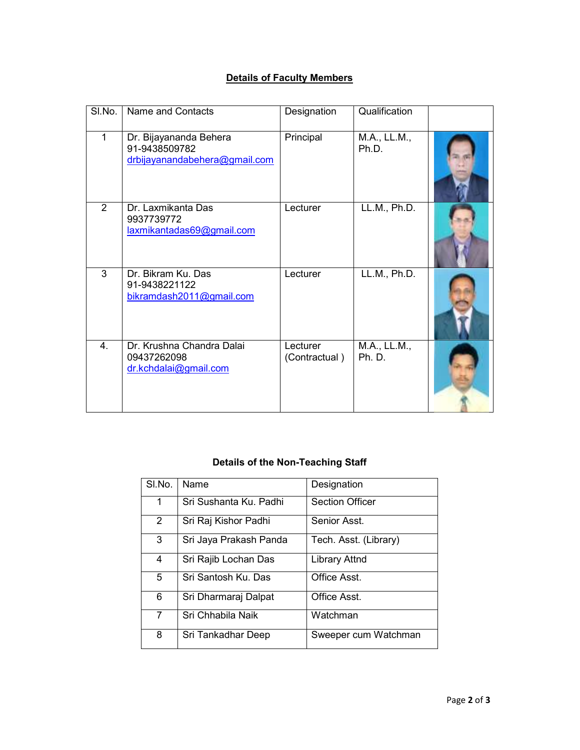# **Details of Faculty Members**

| SI.No.         | Name and Contacts                                                        | Designation               | Qualification         |  |
|----------------|--------------------------------------------------------------------------|---------------------------|-----------------------|--|
| 1              | Dr. Bijayananda Behera<br>91-9438509782<br>drbijayanandabehera@gmail.com | Principal                 | M.A., LL.M.,<br>Ph.D. |  |
| $\overline{2}$ | Dr. Laxmikanta Das<br>9937739772<br>laxmikantadas69@gmail.com            | Lecturer                  | LL.M., Ph.D.          |  |
| $\overline{3}$ | Dr. Bikram Ku. Das<br>91-9438221122<br>bikramdash2011@gmail.com          | Lecturer                  | LL.M., Ph.D.          |  |
| 4.             | Dr. Krushna Chandra Dalai<br>09437262098<br>dr.kchdalai@gmail.com        | Lecturer<br>(Contractual) | M.A., LL.M.,<br>Ph.D. |  |

# **Details of the Non-Teaching Staff**

| SI.No.         | Name                   | Designation            |
|----------------|------------------------|------------------------|
| 1              | Sri Sushanta Ku. Padhi | <b>Section Officer</b> |
| $\overline{2}$ | Sri Raj Kishor Padhi   | Senior Asst.           |
| 3              | Sri Jaya Prakash Panda | Tech. Asst. (Library)  |
| 4              | Sri Rajib Lochan Das   | <b>Library Attnd</b>   |
| 5              | Sri Santosh Ku. Das    | Office Asst.           |
| 6              | Sri Dharmaraj Dalpat   | Office Asst.           |
| 7              | Sri Chhabila Naik      | Watchman               |
| 8              | Sri Tankadhar Deep     | Sweeper cum Watchman   |